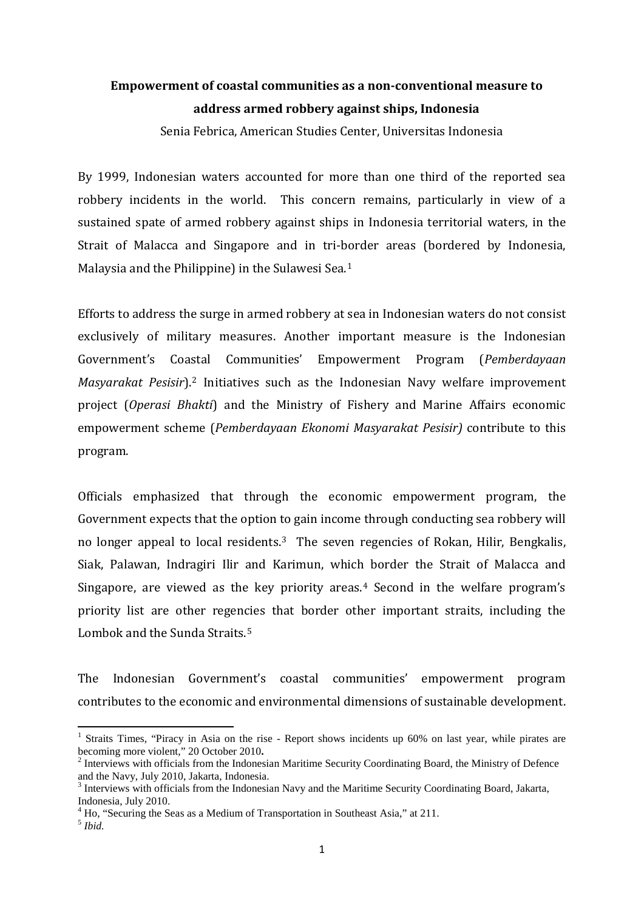## **Empowerment of coastal communities as a non-conventional measure to address armed robbery against ships, Indonesia**

Senia Febrica, American Studies Center, Universitas Indonesia

By 1999, Indonesian waters accounted for more than one third of the reported sea robbery incidents in the world. This concern remains, particularly in view of a sustained spate of armed robbery against ships in Indonesia territorial waters, in the Strait of Malacca and Singapore and in tri-border areas (bordered by Indonesia, Malaysia and the Philippine) in the Sulawesi Sea.[1](#page-0-0)

Efforts to address the surge in armed robbery at sea in Indonesian waters do not consist exclusively of military measures. Another important measure is the Indonesian Government's Coa[st](#page-0-1)al Communities' Empowerment Program (*Pemberdayaan Masyarakat Pesisir*). <sup>2</sup> Initiatives such as the Indonesian Navy welfare improvement project (*Operasi Bhakti*) and the Ministry of Fishery and Marine Affairs economic empowerment scheme (*Pemberdayaan Ekonomi Masyarakat Pesisir)* contribute to this program.

Officials emphasized that through the economic empowerment program, the Government expects that the option to gain income through conducting sea robbery will no longer appeal to local residents.[3](#page-0-2) The seven regencies of Rokan, Hilir, Bengkalis, Siak, Palawan, Indragiri Ilir and Karimun, which border the Strait of Malacca and Singapore, are viewed as the key priority areas.<sup>[4](#page-0-3)</sup> Second in the welfare program's priority list are other regencies that border other important straits, including the Lombok and the Sunda Straits.<sup>5</sup>

The Indonesian Government's coastal communities' empowerment program contributes to the economic and environmental dimensions of sustainable development.

 $\overline{a}$ 

<span id="page-0-0"></span><sup>&</sup>lt;sup>1</sup> Straits Times, "Piracy in Asia on the rise - Report shows incidents up 60% on last year, while pirates are becoming more violent," 20 October 2010.

<span id="page-0-1"></span><sup>&</sup>lt;sup>2</sup> Interviews with officials from the Indonesian Maritime Security Coordinating Board, the Ministry of Defence and the Navy, July 2010, Jakarta, Indonesia.

<span id="page-0-2"></span><sup>&</sup>lt;sup>3</sup> Interviews with officials from the Indonesian Navy and the Maritime Security Coordinating Board, Jakarta, Indonesia, July 2010.

<sup>&</sup>lt;sup>4</sup> Ho, "Securing the Seas as a Medium of Transportation in Southeast Asia," at 211.

<span id="page-0-4"></span><span id="page-0-3"></span><sup>5</sup> *Ibid.*